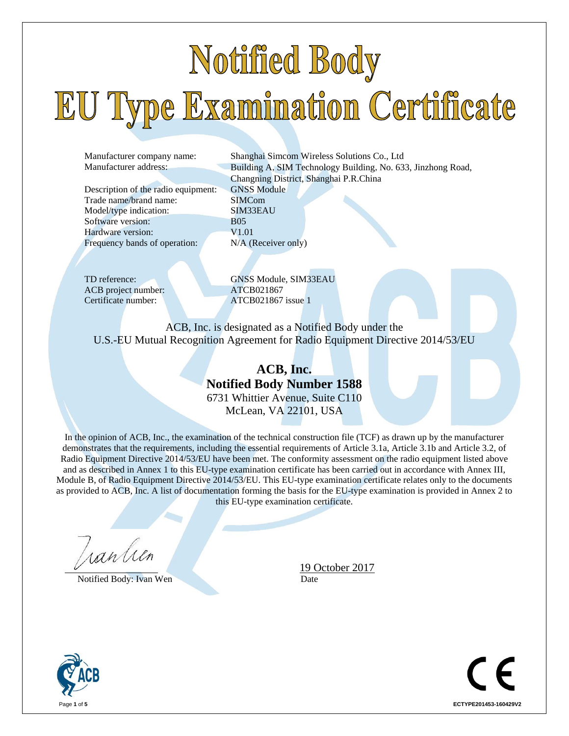# Notified Body EU Type Examination Certificate

Description of the radio equipment: GNSS Module Trade name/brand name: SIMCom Model/type indication: SIM33EAU Software version: B05 Hardware version: V1.01 Frequency bands of operation: N/A (Receiver only)

Manufacturer company name: Shanghai Simcom Wireless Solutions Co., Ltd Manufacturer address: Building A, SIM Technology Building, No. 633, Jinzhong Road, Changning District, Shanghai P.R.China

ACB project number: ATCB021867

TD reference: GNSS Module, SIM33EAU Certificate number: ATCB021867 issue 1

ACB, Inc. is designated as a Notified Body under the U.S.-EU Mutual Recognition Agreement for Radio Equipment Directive 2014/53/EU

> **ACB, Inc. Notified Body Number 1588** 6731 Whittier Avenue, Suite C110 McLean, VA 22101, USA

In the opinion of ACB, Inc., the examination of the technical construction file (TCF) as drawn up by the manufacturer demonstrates that the requirements, including the essential requirements of Article 3.1a, Article 3.1b and Article 3.2, of Radio Equipment Directive 2014/53/EU have been met. The conformity assessment on the radio equipment listed above and as described in Annex 1 to this EU-type examination certificate has been carried out in accordance with Annex III, Module B, of Radio Equipment Directive 2014/53/EU. This EU-type examination certificate relates only to the documents as provided to ACB, Inc. A list of documentation forming the basis for the EU-type examination is provided in Annex 2 to this EU-type examination certificate.

ran lieu

Notified Body: Ivan Wen Date



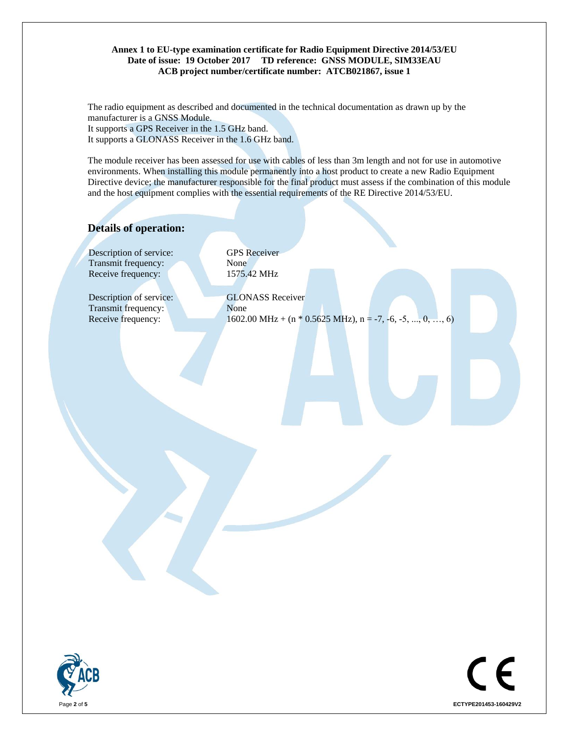#### **Annex 1 to EU-type examination certificate for Radio Equipment Directive 2014/53/EU Date of issue: 19 October 2017 TD reference: GNSS MODULE, SIM33EAU ACB project number/certificate number: ATCB021867, issue 1**

The radio equipment as described and documented in the technical documentation as drawn up by the manufacturer is a GNSS Module. It supports a GPS Receiver in the 1.5 GHz band. It supports a GLONASS Receiver in the 1.6 GHz band.

The module receiver has been assessed for use with cables of less than 3m length and not for use in automotive environments. When installing this module permanently into a host product to create a new Radio Equipment Directive device; the manufacturer responsible for the final product must assess if the combination of this module and the host equipment complies with the essential requirements of the RE Directive 2014/53/EU.

### **Details of operation:**

Description of service: GPS Receiver Transmit frequency: None Receive frequency: 1575.42 MHz

Description of service: Transmit frequency:

GLONASS Receiver None Receive frequency: 1602.00 MHz + (n \* 0.5625 MHz), n = -7, -6, -5, ..., 0, ..., 6)



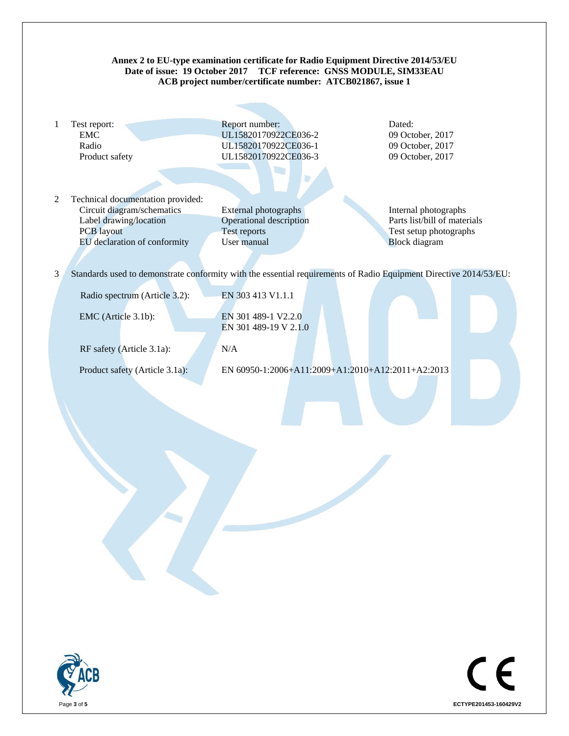## **Annex 2 to EU-type examination certificate for Radio Equipment Directive 2014/53/EU Date of issue: 19 October 2017 TCF reference: GNSS MODULE, SIM33EAU ACB project number/certificate number: ATCB021867, issue 1** 1 Test report: Report number: Dated: EMC UL15820170922CE036-2 09 October, 2017 Radio **UL15820170922CE036-1** 09 October, 2017 Product safety UL15820170922CE036-3 09 October, 2017  $\mathbb{R}^n$ 2 Technical documentation provided: Circuit diagram/schematics External photographs Internal photographs Label drawing/location Operational description Parts list/bill of materials PCB layout Test reports Test reports Test setup photographs EU declaration of conformity User manual Block diagram 3 Standards used to demonstrate conformity with the essential requirements of Radio Equipment Directive 2014/53/EU: Radio spectrum (Article 3.2): EN 303 413 V1.1.1 EMC (Article 3.1b): EN 301 489-1 V2.2.0 EN 301 489-19 V 2.1.0 RF safety (Article 3.1a): N/A Product safety (Article 3.1a): EN 60950-1:2006+A11:2009+A1:2010+A12:2011+A2:2013



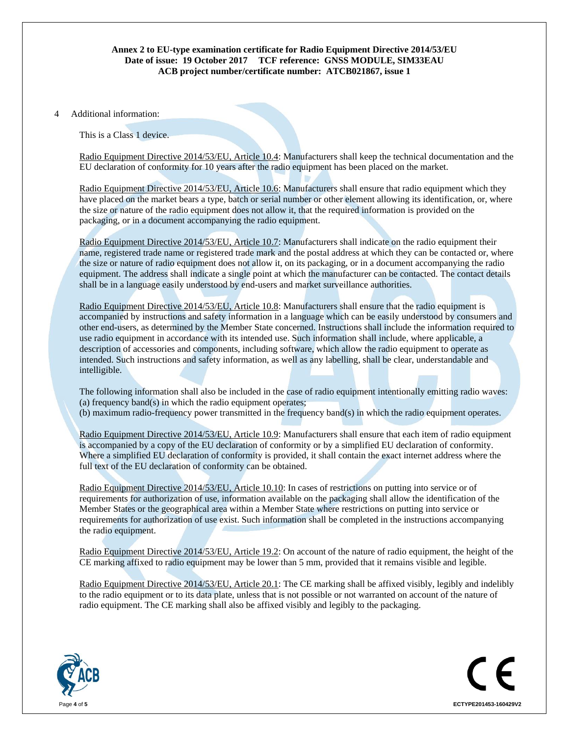#### **Annex 2 to EU-type examination certificate for Radio Equipment Directive 2014/53/EU Date of issue: 19 October 2017 TCF reference: GNSS MODULE, SIM33EAU ACB project number/certificate number: ATCB021867, issue 1**

#### 4 Additional information:

This is a Class 1 device.

Radio Equipment Directive 2014/53/EU, Article 10.4: Manufacturers shall keep the technical documentation and the EU declaration of conformity for 10 years after the radio equipment has been placed on the market.

Radio Equipment Directive 2014/53/EU, Article 10.6: Manufacturers shall ensure that radio equipment which they have placed on the market bears a type, batch or serial number or other element allowing its identification, or, where the size or nature of the radio equipment does not allow it, that the required information is provided on the packaging, or in a document accompanying the radio equipment.

Radio Equipment Directive 2014/53/EU, Article 10.7: Manufacturers shall indicate on the radio equipment their name, registered trade name or registered trade mark and the postal address at which they can be contacted or, where the size or nature of radio equipment does not allow it, on its packaging, or in a document accompanying the radio equipment. The address shall indicate a single point at which the manufacturer can be contacted. The contact details shall be in a language easily understood by end-users and market surveillance authorities.

Radio Equipment Directive 2014/53/EU, Article 10.8: Manufacturers shall ensure that the radio equipment is accompanied by instructions and safety information in a language which can be easily understood by consumers and other end-users, as determined by the Member State concerned. Instructions shall include the information required to use radio equipment in accordance with its intended use. Such information shall include, where applicable, a description of accessories and components, including software, which allow the radio equipment to operate as intended. Such instructions and safety information, as well as any labelling, shall be clear, understandable and intelligible.

The following information shall also be included in the case of radio equipment intentionally emitting radio waves: (a) frequency band(s) in which the radio equipment operates; (b) maximum radio-frequency power transmitted in the frequency band(s) in which the radio equipment operates.

Radio Equipment Directive 2014/53/EU, Article 10.9: Manufacturers shall ensure that each item of radio equipment is accompanied by a copy of the EU declaration of conformity or by a simplified EU declaration of conformity. Where a simplified EU declaration of conformity is provided, it shall contain the exact internet address where the full text of the EU declaration of conformity can be obtained.

Radio Equipment Directive 2014/53/EU, Article 10.10: In cases of restrictions on putting into service or of requirements for authorization of use, information available on the packaging shall allow the identification of the Member States or the geographical area within a Member State where restrictions on putting into service or requirements for authorization of use exist. Such information shall be completed in the instructions accompanying the radio equipment.

Radio Equipment Directive 2014/53/EU, Article 19.2: On account of the nature of radio equipment, the height of the CE marking affixed to radio equipment may be lower than 5 mm, provided that it remains visible and legible.

Radio Equipment Directive 2014/53/EU, Article 20.1: The CE marking shall be affixed visibly, legibly and indelibly to the radio equipment or to its data plate, unless that is not possible or not warranted on account of the nature of radio equipment. The CE marking shall also be affixed visibly and legibly to the packaging.